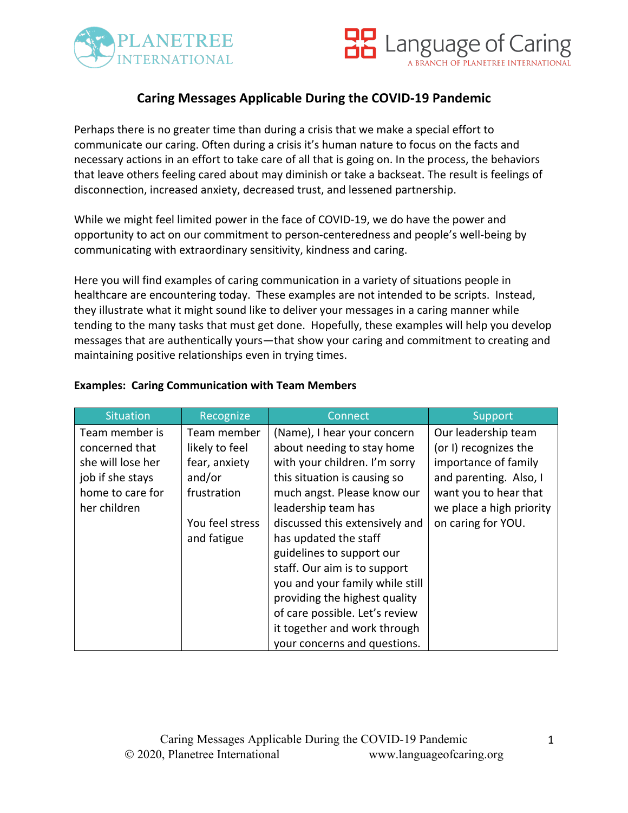



# **Caring Messages Applicable During the COVID-19 Pandemic**

Perhaps there is no greater time than during a crisis that we make a special effort to communicate our caring. Often during a crisis it's human nature to focus on the facts and necessary actions in an effort to take care of all that is going on. In the process, the behaviors that leave others feeling cared about may diminish or take a backseat. The result is feelings of disconnection, increased anxiety, decreased trust, and lessened partnership.

While we might feel limited power in the face of COVID-19, we do have the power and opportunity to act on our commitment to person-centeredness and people's well-being by communicating with extraordinary sensitivity, kindness and caring.

Here you will find examples of caring communication in a variety of situations people in healthcare are encountering today. These examples are not intended to be scripts. Instead, they illustrate what it might sound like to deliver your messages in a caring manner while tending to the many tasks that must get done. Hopefully, these examples will help you develop messages that are authentically yours—that show your caring and commitment to creating and maintaining positive relationships even in trying times.

| <b>Situation</b>  | Recognize       | Connect                         | Support                  |
|-------------------|-----------------|---------------------------------|--------------------------|
| Team member is    | Team member     | (Name), I hear your concern     | Our leadership team      |
| concerned that    | likely to feel  | about needing to stay home      | (or I) recognizes the    |
| she will lose her | fear, anxiety   | with your children. I'm sorry   | importance of family     |
| job if she stays  | and/or          | this situation is causing so    | and parenting. Also, I   |
| home to care for  | frustration     | much angst. Please know our     | want you to hear that    |
| her children      |                 | leadership team has             | we place a high priority |
|                   | You feel stress | discussed this extensively and  | on caring for YOU.       |
|                   | and fatigue     | has updated the staff           |                          |
|                   |                 | guidelines to support our       |                          |
|                   |                 | staff. Our aim is to support    |                          |
|                   |                 | you and your family while still |                          |
|                   |                 | providing the highest quality   |                          |
|                   |                 | of care possible. Let's review  |                          |
|                   |                 | it together and work through    |                          |
|                   |                 | your concerns and questions.    |                          |

#### **Examples: Caring Communication with Team Members**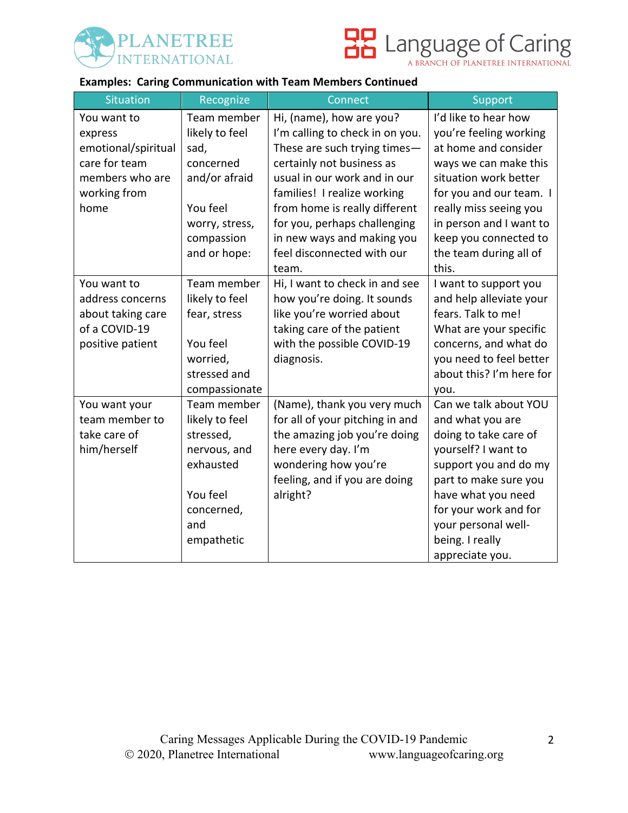



#### **Examples: Caring Communication with Team Members Continued**

| <b>Situation</b>    | Recognize      | Connect                         | Support                  |
|---------------------|----------------|---------------------------------|--------------------------|
| You want to         | Team member    | Hi, (name), how are you?        | I'd like to hear how     |
| express             | likely to feel | I'm calling to check in on you. | you're feeling working   |
| emotional/spiritual | sad,           | These are such trying times-    | at home and consider     |
| care for team       | concerned      | certainly not business as       | ways we can make this    |
| members who are     | and/or afraid  | usual in our work and in our    | situation work better    |
| working from        |                | families! I realize working     | for you and our team. I  |
| home                | You feel       | from home is really different   | really miss seeing you   |
|                     | worry, stress, | for you, perhaps challenging    | in person and I want to  |
|                     | compassion     | in new ways and making you      | keep you connected to    |
|                     | and or hope:   | feel disconnected with our      | the team during all of   |
|                     |                | team.                           | this.                    |
| You want to         | Team member    | Hi, I want to check in and see  | I want to support you    |
| address concerns    | likely to feel | how you're doing. It sounds     | and help alleviate your  |
| about taking care   | fear, stress   | like you're worried about       | fears. Talk to me!       |
| of a COVID-19       |                | taking care of the patient      | What are your specific   |
| positive patient    | You feel       | with the possible COVID-19      | concerns, and what do    |
|                     | worried,       | diagnosis.                      | you need to feel better  |
|                     | stressed and   |                                 | about this? I'm here for |
|                     | compassionate  |                                 | you.                     |
| You want your       | Team member    | (Name), thank you very much     | Can we talk about YOU    |
| team member to      | likely to feel | for all of your pitching in and | and what you are         |
| take care of        | stressed,      | the amazing job you're doing    | doing to take care of    |
| him/herself         | nervous, and   | here every day. I'm             | yourself? I want to      |
|                     | exhausted      | wondering how you're            | support you and do my    |
|                     |                | feeling, and if you are doing   | part to make sure you    |
|                     | You feel       | alright?                        | have what you need       |
|                     | concerned,     |                                 | for your work and for    |
|                     | and            |                                 | your personal well-      |
|                     | empathetic     |                                 | being. I really          |
|                     |                |                                 | appreciate you.          |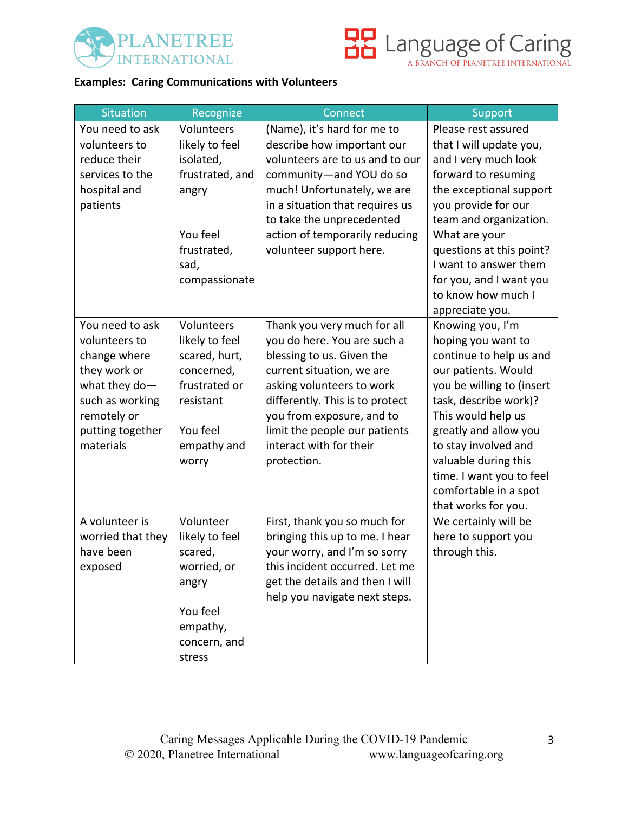



# **Examples: Caring Communications with Volunteers**

| Situation         | Recognize       | Connect                         | Support                   |
|-------------------|-----------------|---------------------------------|---------------------------|
| You need to ask   | Volunteers      | (Name), it's hard for me to     | Please rest assured       |
| volunteers to     | likely to feel  | describe how important our      | that I will update you,   |
| reduce their      | isolated,       | volunteers are to us and to our | and I very much look      |
| services to the   | frustrated, and | community-and YOU do so         | forward to resuming       |
| hospital and      | angry           | much! Unfortunately, we are     | the exceptional support   |
| patients          |                 | in a situation that requires us | you provide for our       |
|                   |                 | to take the unprecedented       | team and organization.    |
|                   | You feel        | action of temporarily reducing  | What are your             |
|                   | frustrated,     | volunteer support here.         | questions at this point?  |
|                   | sad,            |                                 | I want to answer them     |
|                   | compassionate   |                                 | for you, and I want you   |
|                   |                 |                                 | to know how much I        |
|                   |                 |                                 | appreciate you.           |
| You need to ask   | Volunteers      | Thank you very much for all     | Knowing you, I'm          |
| volunteers to     | likely to feel  | you do here. You are such a     | hoping you want to        |
| change where      | scared, hurt,   | blessing to us. Given the       | continue to help us and   |
| they work or      | concerned,      | current situation, we are       | our patients. Would       |
| what they do-     | frustrated or   | asking volunteers to work       | you be willing to (insert |
| such as working   | resistant       | differently. This is to protect | task, describe work)?     |
| remotely or       |                 | you from exposure, and to       | This would help us        |
| putting together  | You feel        | limit the people our patients   | greatly and allow you     |
| materials         | empathy and     | interact with for their         | to stay involved and      |
|                   | worry           | protection.                     | valuable during this      |
|                   |                 |                                 | time. I want you to feel  |
|                   |                 |                                 | comfortable in a spot     |
|                   |                 |                                 | that works for you.       |
| A volunteer is    | Volunteer       | First, thank you so much for    | We certainly will be      |
| worried that they | likely to feel  | bringing this up to me. I hear  | here to support you       |
| have been         | scared,         | your worry, and I'm so sorry    | through this.             |
| exposed           | worried, or     | this incident occurred. Let me  |                           |
|                   | angry           | get the details and then I will |                           |
|                   |                 | help you navigate next steps.   |                           |
|                   | You feel        |                                 |                           |
|                   | empathy,        |                                 |                           |
|                   | concern, and    |                                 |                           |
|                   | stress          |                                 |                           |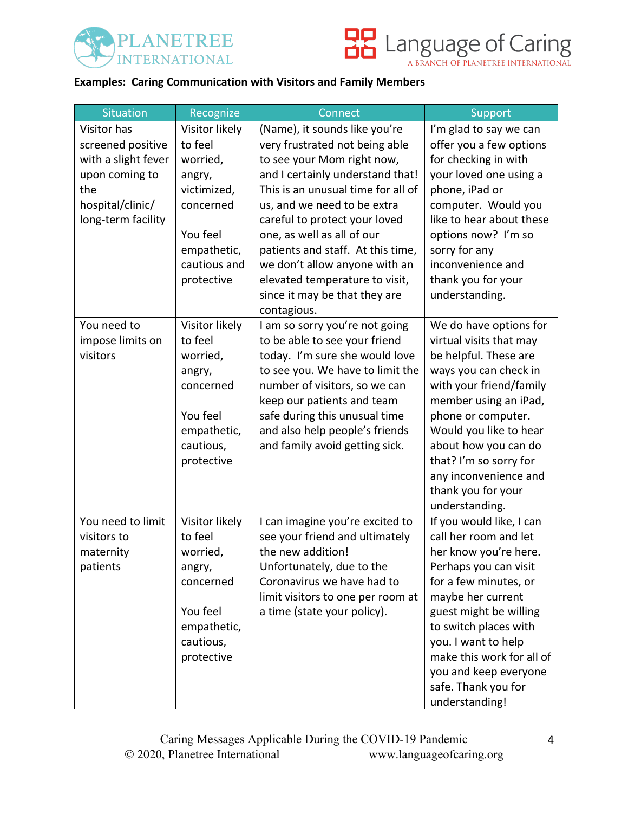



# **Examples: Caring Communication with Visitors and Family Members**

| Situation                                                                                                                  | Recognize                                                                                                                            | Connect                                                                                                                                                                                                                                                                                                                                                                                                                       | Support                                                                                                                                                                                                                                                                                                                    |
|----------------------------------------------------------------------------------------------------------------------------|--------------------------------------------------------------------------------------------------------------------------------------|-------------------------------------------------------------------------------------------------------------------------------------------------------------------------------------------------------------------------------------------------------------------------------------------------------------------------------------------------------------------------------------------------------------------------------|----------------------------------------------------------------------------------------------------------------------------------------------------------------------------------------------------------------------------------------------------------------------------------------------------------------------------|
| Visitor has<br>screened positive<br>with a slight fever<br>upon coming to<br>the<br>hospital/clinic/<br>long-term facility | Visitor likely<br>to feel<br>worried,<br>angry,<br>victimized,<br>concerned<br>You feel<br>empathetic,<br>cautious and<br>protective | (Name), it sounds like you're<br>very frustrated not being able<br>to see your Mom right now,<br>and I certainly understand that!<br>This is an unusual time for all of<br>us, and we need to be extra<br>careful to protect your loved<br>one, as well as all of our<br>patients and staff. At this time,<br>we don't allow anyone with an<br>elevated temperature to visit,<br>since it may be that they are<br>contagious. | I'm glad to say we can<br>offer you a few options<br>for checking in with<br>your loved one using a<br>phone, iPad or<br>computer. Would you<br>like to hear about these<br>options now? I'm so<br>sorry for any<br>inconvenience and<br>thank you for your<br>understanding.                                              |
| You need to<br>impose limits on<br>visitors                                                                                | Visitor likely<br>to feel<br>worried,<br>angry,<br>concerned<br>You feel<br>empathetic,<br>cautious,<br>protective                   | I am so sorry you're not going<br>to be able to see your friend<br>today. I'm sure she would love<br>to see you. We have to limit the<br>number of visitors, so we can<br>keep our patients and team<br>safe during this unusual time<br>and also help people's friends<br>and family avoid getting sick.                                                                                                                     | We do have options for<br>virtual visits that may<br>be helpful. These are<br>ways you can check in<br>with your friend/family<br>member using an iPad,<br>phone or computer.<br>Would you like to hear<br>about how you can do<br>that? I'm so sorry for<br>any inconvenience and<br>thank you for your<br>understanding. |
| You need to limit<br>visitors to<br>maternity<br>patients                                                                  | Visitor likely<br>to feel<br>worried,<br>angry,<br>concerned<br>You feel<br>empathetic,<br>cautious,<br>protective                   | I can imagine you're excited to<br>see your friend and ultimately<br>the new addition!<br>Unfortunately, due to the<br>Coronavirus we have had to<br>limit visitors to one per room at<br>a time (state your policy).                                                                                                                                                                                                         | If you would like, I can<br>call her room and let<br>her know you're here.<br>Perhaps you can visit<br>for a few minutes, or<br>maybe her current<br>guest might be willing<br>to switch places with<br>you. I want to help<br>make this work for all of<br>you and keep everyone<br>safe. Thank you for<br>understanding! |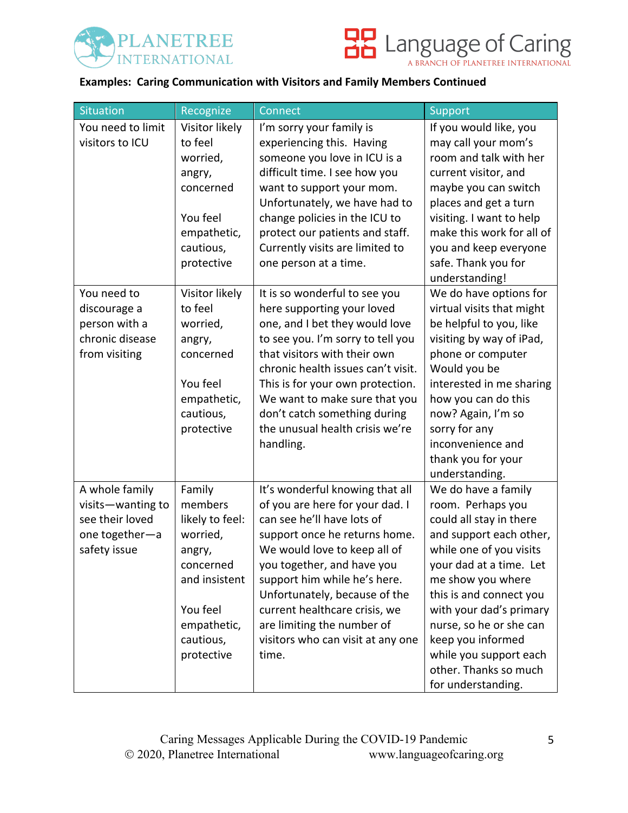



# **Examples: Caring Communication with Visitors and Family Members Continued**

| <b>Situation</b>                                                                         | Recognize                                                                                                                                      | Connect                                                                                                                                                                                                                                                                                                                                                                       | Support                                                                                                                                                                                                                                                                                                                                                  |
|------------------------------------------------------------------------------------------|------------------------------------------------------------------------------------------------------------------------------------------------|-------------------------------------------------------------------------------------------------------------------------------------------------------------------------------------------------------------------------------------------------------------------------------------------------------------------------------------------------------------------------------|----------------------------------------------------------------------------------------------------------------------------------------------------------------------------------------------------------------------------------------------------------------------------------------------------------------------------------------------------------|
| You need to limit<br>visitors to ICU                                                     | Visitor likely<br>to feel<br>worried,<br>angry,<br>concerned<br>You feel<br>empathetic,<br>cautious,<br>protective                             | I'm sorry your family is<br>experiencing this. Having<br>someone you love in ICU is a<br>difficult time. I see how you<br>want to support your mom.<br>Unfortunately, we have had to<br>change policies in the ICU to<br>protect our patients and staff.<br>Currently visits are limited to<br>one person at a time.                                                          | If you would like, you<br>may call your mom's<br>room and talk with her<br>current visitor, and<br>maybe you can switch<br>places and get a turn<br>visiting. I want to help<br>make this work for all of<br>you and keep everyone<br>safe. Thank you for<br>understanding!                                                                              |
| You need to<br>discourage a<br>person with a<br>chronic disease<br>from visiting         | Visitor likely<br>to feel<br>worried,<br>angry,<br>concerned<br>You feel<br>empathetic,<br>cautious,<br>protective                             | It is so wonderful to see you<br>here supporting your loved<br>one, and I bet they would love<br>to see you. I'm sorry to tell you<br>that visitors with their own<br>chronic health issues can't visit.<br>This is for your own protection.<br>We want to make sure that you<br>don't catch something during<br>the unusual health crisis we're<br>handling.                 | We do have options for<br>virtual visits that might<br>be helpful to you, like<br>visiting by way of iPad,<br>phone or computer<br>Would you be<br>interested in me sharing<br>how you can do this<br>now? Again, I'm so<br>sorry for any<br>inconvenience and<br>thank you for your<br>understanding.                                                   |
| A whole family<br>visits-wanting to<br>see their loved<br>one together-a<br>safety issue | Family<br>members<br>likely to feel:<br>worried,<br>angry,<br>concerned<br>and insistent<br>You feel<br>empathetic,<br>cautious,<br>protective | It's wonderful knowing that all<br>of you are here for your dad. I<br>can see he'll have lots of<br>support once he returns home.<br>We would love to keep all of<br>you together, and have you<br>support him while he's here.<br>Unfortunately, because of the<br>current healthcare crisis, we<br>are limiting the number of<br>visitors who can visit at any one<br>time. | We do have a family<br>room. Perhaps you<br>could all stay in there<br>and support each other,<br>while one of you visits<br>your dad at a time. Let<br>me show you where<br>this is and connect you<br>with your dad's primary<br>nurse, so he or she can<br>keep you informed<br>while you support each<br>other. Thanks so much<br>for understanding. |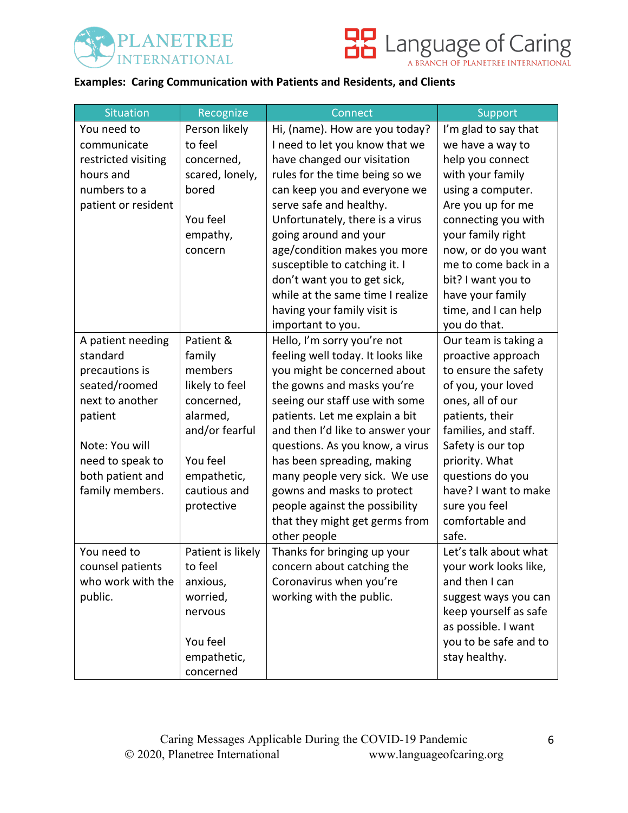



### **Examples: Caring Communication with Patients and Residents, and Clients**

| Situation           | Recognize         | Connect                                     | Support                  |
|---------------------|-------------------|---------------------------------------------|--------------------------|
| You need to         | Person likely     | Hi, (name). How are you today?              | I'm glad to say that     |
| communicate         | to feel           | I need to let you know that we              | we have a way to         |
| restricted visiting | concerned,        | have changed our visitation                 | help you connect         |
| hours and           | scared, lonely,   | rules for the time being so we              | with your family         |
| numbers to a        | bored             | can keep you and everyone we                | using a computer.        |
| patient or resident |                   | serve safe and healthy.                     | Are you up for me        |
|                     | You feel          | Unfortunately, there is a virus             | connecting you with      |
|                     | empathy,          | going around and your                       | your family right        |
|                     | concern           | age/condition makes you more                | now, or do you want      |
|                     |                   | susceptible to catching it. I               | me to come back in a     |
|                     |                   | don't want you to get sick,                 | bit? I want you to       |
|                     |                   | while at the same time I realize            | have your family         |
|                     |                   | having your family visit is                 | time, and I can help     |
|                     |                   | important to you.                           | you do that.             |
| A patient needing   | Patient &         | Hello, I'm sorry you're not                 | Our team is taking a     |
| standard            | family            | feeling well today. It looks like           | proactive approach       |
| precautions is      | members           | you might be concerned about                | to ensure the safety     |
| seated/roomed       | likely to feel    | the gowns and masks you're                  | of you, your loved       |
| next to another     | concerned,        | seeing our staff use with some              | ones, all of our         |
| patient             | alarmed,          | patients. Let me explain a bit              | patients, their          |
|                     | and/or fearful    | and then I'd like to answer your            | families, and staff.     |
| Note: You will      |                   | questions. As you know, a virus             | Safety is our top        |
| need to speak to    | You feel          | has been spreading, making                  | priority. What           |
| both patient and    | empathetic,       | many people very sick. We use               | questions do you         |
| family members.     | cautious and      | gowns and masks to protect                  | have? I want to make     |
|                     | protective        | people against the possibility              | sure you feel            |
|                     |                   | that they might get germs from              | comfortable and<br>safe. |
| You need to         | Patient is likely | other people<br>Thanks for bringing up your | Let's talk about what    |
| counsel patients    | to feel           | concern about catching the                  | your work looks like,    |
| who work with the   | anxious,          | Coronavirus when you're                     | and then I can           |
| public.             | worried,          | working with the public.                    | suggest ways you can     |
|                     | nervous           |                                             | keep yourself as safe    |
|                     |                   |                                             | as possible. I want      |
|                     | You feel          |                                             | you to be safe and to    |
|                     | empathetic,       |                                             | stay healthy.            |
|                     | concerned         |                                             |                          |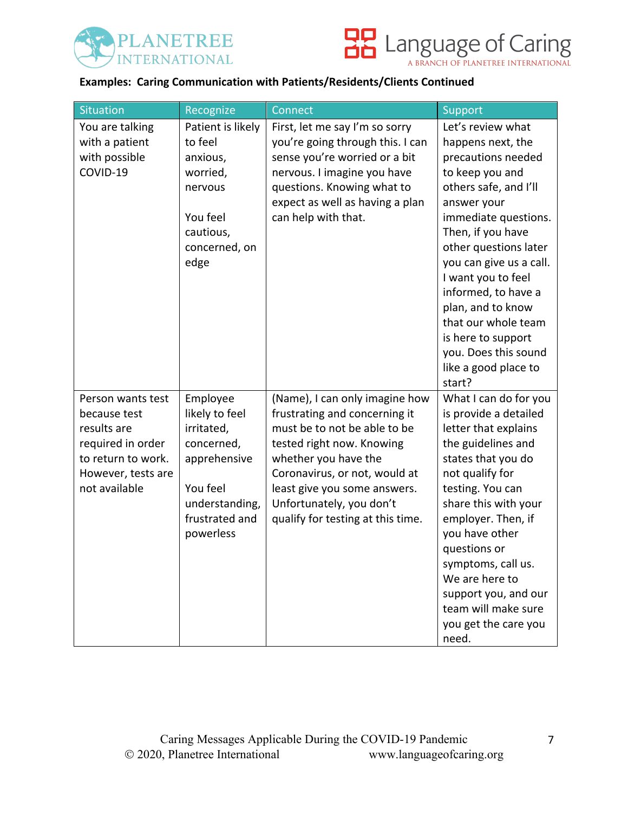



#### **Examples: Caring Communication with Patients/Residents/Clients Continued**

| <b>Situation</b>                                                                                                                   | Recognize                                                                                                                           | Connect                                                                                                                                                                                                                                                                                | Support                                                                                                                                                                                                                                                                                                                                                                                           |
|------------------------------------------------------------------------------------------------------------------------------------|-------------------------------------------------------------------------------------------------------------------------------------|----------------------------------------------------------------------------------------------------------------------------------------------------------------------------------------------------------------------------------------------------------------------------------------|---------------------------------------------------------------------------------------------------------------------------------------------------------------------------------------------------------------------------------------------------------------------------------------------------------------------------------------------------------------------------------------------------|
| You are talking<br>with a patient<br>with possible<br>COVID-19                                                                     | Patient is likely<br>to feel<br>anxious,<br>worried,<br>nervous<br>You feel<br>cautious,<br>concerned, on<br>edge                   | First, let me say I'm so sorry<br>you're going through this. I can<br>sense you're worried or a bit<br>nervous. I imagine you have<br>questions. Knowing what to<br>expect as well as having a plan<br>can help with that.                                                             | Let's review what<br>happens next, the<br>precautions needed<br>to keep you and<br>others safe, and I'll<br>answer your<br>immediate questions.<br>Then, if you have<br>other questions later<br>you can give us a call.<br>I want you to feel<br>informed, to have a<br>plan, and to know<br>that our whole team<br>is here to support<br>you. Does this sound<br>like a good place to<br>start? |
| Person wants test<br>because test<br>results are<br>required in order<br>to return to work.<br>However, tests are<br>not available | Employee<br>likely to feel<br>irritated,<br>concerned,<br>apprehensive<br>You feel<br>understanding,<br>frustrated and<br>powerless | (Name), I can only imagine how<br>frustrating and concerning it<br>must be to not be able to be<br>tested right now. Knowing<br>whether you have the<br>Coronavirus, or not, would at<br>least give you some answers.<br>Unfortunately, you don't<br>qualify for testing at this time. | What I can do for you<br>is provide a detailed<br>letter that explains<br>the guidelines and<br>states that you do<br>not qualify for<br>testing. You can<br>share this with your<br>employer. Then, if<br>you have other<br>questions or<br>symptoms, call us.<br>We are here to<br>support you, and our<br>team will make sure<br>you get the care you<br>need.                                 |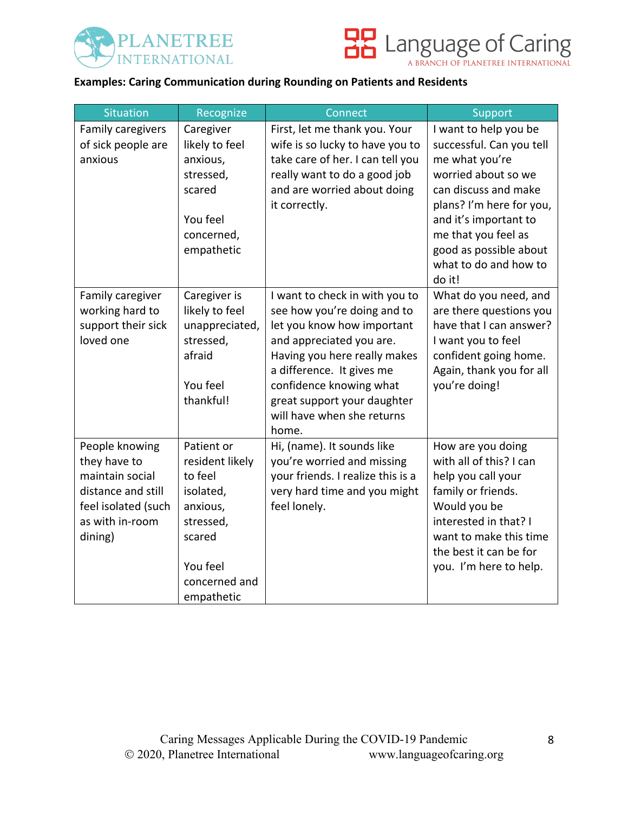



### **Examples: Caring Communication during Rounding on Patients and Residents**

| <b>Situation</b>                       | Recognize                  | Connect                                      | Support                                          |
|----------------------------------------|----------------------------|----------------------------------------------|--------------------------------------------------|
| Family caregivers                      | Caregiver                  | First, let me thank you. Your                | I want to help you be                            |
| of sick people are                     | likely to feel             | wife is so lucky to have you to              | successful. Can you tell                         |
| anxious                                | anxious,                   | take care of her. I can tell you             | me what you're                                   |
|                                        | stressed,                  | really want to do a good job                 | worried about so we                              |
|                                        | scared                     | and are worried about doing<br>it correctly. | can discuss and make<br>plans? I'm here for you, |
|                                        | You feel                   |                                              | and it's important to                            |
|                                        | concerned,                 |                                              | me that you feel as                              |
|                                        | empathetic                 |                                              | good as possible about                           |
|                                        |                            |                                              | what to do and how to                            |
|                                        |                            |                                              | do it!                                           |
| Family caregiver                       | Caregiver is               | I want to check in with you to               | What do you need, and                            |
| working hard to                        | likely to feel             | see how you're doing and to                  | are there questions you                          |
| support their sick                     | unappreciated,             | let you know how important                   | have that I can answer?                          |
| loved one                              | stressed,                  | and appreciated you are.                     | I want you to feel                               |
|                                        | afraid                     | Having you here really makes                 | confident going home.                            |
|                                        |                            | a difference. It gives me                    | Again, thank you for all                         |
|                                        | You feel                   | confidence knowing what                      | you're doing!                                    |
|                                        | thankful!                  | great support your daughter                  |                                                  |
|                                        |                            | will have when she returns                   |                                                  |
|                                        |                            | home.                                        |                                                  |
| People knowing                         | Patient or                 | Hi, (name). It sounds like                   | How are you doing                                |
| they have to<br>maintain social        | resident likely<br>to feel | you're worried and missing                   | with all of this? I can                          |
| distance and still                     |                            | your friends. I realize this is a            | help you call your                               |
|                                        | isolated,                  | very hard time and you might<br>feel lonely. | family or friends.<br>Would you be               |
| feel isolated (such<br>as with in-room | anxious,<br>stressed,      |                                              | interested in that? I                            |
| dining)                                | scared                     |                                              | want to make this time                           |
|                                        |                            |                                              | the best it can be for                           |
|                                        | You feel                   |                                              | you. I'm here to help.                           |
|                                        | concerned and              |                                              |                                                  |
|                                        | empathetic                 |                                              |                                                  |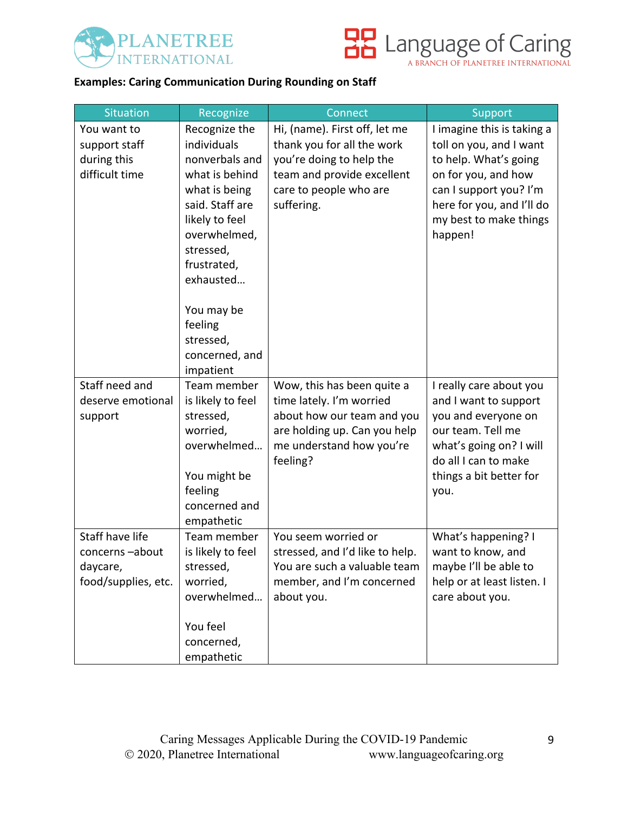



## **Examples: Caring Communication During Rounding on Staff**

| <b>Situation</b>                                                     | Recognize                                                                                                                                                                                                | Connect                                                                                                                                                       | Support                                                                                                                                                                                           |
|----------------------------------------------------------------------|----------------------------------------------------------------------------------------------------------------------------------------------------------------------------------------------------------|---------------------------------------------------------------------------------------------------------------------------------------------------------------|---------------------------------------------------------------------------------------------------------------------------------------------------------------------------------------------------|
| You want to<br>support staff<br>during this<br>difficult time        | Recognize the<br>individuals<br>nonverbals and<br>what is behind<br>what is being<br>said. Staff are<br>likely to feel<br>overwhelmed,<br>stressed,<br>frustrated,<br>exhausted<br>You may be<br>feeling | Hi, (name). First off, let me<br>thank you for all the work<br>you're doing to help the<br>team and provide excellent<br>care to people who are<br>suffering. | I imagine this is taking a<br>toll on you, and I want<br>to help. What's going<br>on for you, and how<br>can I support you? I'm<br>here for you, and I'll do<br>my best to make things<br>happen! |
|                                                                      | stressed,<br>concerned, and<br>impatient                                                                                                                                                                 |                                                                                                                                                               |                                                                                                                                                                                                   |
| Staff need and<br>deserve emotional<br>support                       | Team member<br>is likely to feel<br>stressed,<br>worried,<br>overwhelmed<br>You might be<br>feeling<br>concerned and<br>empathetic                                                                       | Wow, this has been quite a<br>time lately. I'm worried<br>about how our team and you<br>are holding up. Can you help<br>me understand how you're<br>feeling?  | I really care about you<br>and I want to support<br>you and everyone on<br>our team. Tell me<br>what's going on? I will<br>do all I can to make<br>things a bit better for<br>you.                |
| Staff have life<br>concerns-about<br>daycare,<br>food/supplies, etc. | Team member<br>is likely to feel<br>stressed,<br>worried,<br>overwhelmed<br>You feel<br>concerned,<br>empathetic                                                                                         | You seem worried or<br>stressed, and I'd like to help.<br>You are such a valuable team<br>member, and I'm concerned<br>about you.                             | What's happening? I<br>want to know, and<br>maybe I'll be able to<br>help or at least listen. I<br>care about you.                                                                                |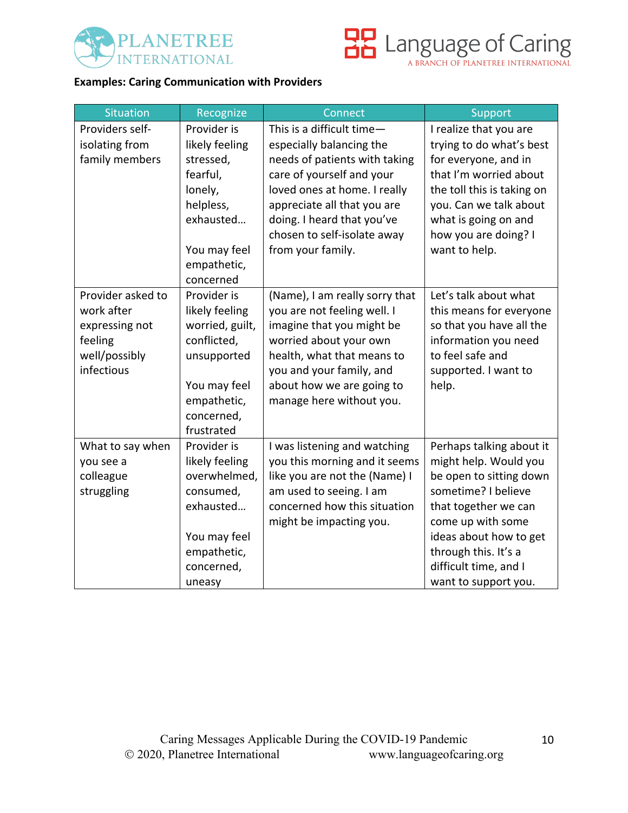



## **Examples: Caring Communication with Providers**

| <b>Situation</b>  | Recognize       | Connect                        | Support                    |
|-------------------|-----------------|--------------------------------|----------------------------|
| Providers self-   | Provider is     | This is a difficult time-      | I realize that you are     |
| isolating from    | likely feeling  | especially balancing the       | trying to do what's best   |
| family members    | stressed,       | needs of patients with taking  | for everyone, and in       |
|                   | fearful,        | care of yourself and your      | that I'm worried about     |
|                   | lonely,         | loved ones at home. I really   | the toll this is taking on |
|                   | helpless,       | appreciate all that you are    | you. Can we talk about     |
|                   | exhausted       | doing. I heard that you've     | what is going on and       |
|                   |                 | chosen to self-isolate away    | how you are doing? I       |
|                   | You may feel    | from your family.              | want to help.              |
|                   | empathetic,     |                                |                            |
|                   | concerned       |                                |                            |
| Provider asked to | Provider is     | (Name), I am really sorry that | Let's talk about what      |
| work after        | likely feeling  | you are not feeling well. I    | this means for everyone    |
| expressing not    | worried, guilt, | imagine that you might be      | so that you have all the   |
| feeling           | conflicted,     | worried about your own         | information you need       |
| well/possibly     | unsupported     | health, what that means to     | to feel safe and           |
| infectious        |                 | you and your family, and       | supported. I want to       |
|                   | You may feel    | about how we are going to      | help.                      |
|                   | empathetic,     | manage here without you.       |                            |
|                   | concerned,      |                                |                            |
|                   | frustrated      |                                |                            |
| What to say when  | Provider is     | I was listening and watching   | Perhaps talking about it   |
| you see a         | likely feeling  | you this morning and it seems  | might help. Would you      |
| colleague         | overwhelmed,    | like you are not the (Name) I  | be open to sitting down    |
| struggling        | consumed,       | am used to seeing. I am        | sometime? I believe        |
|                   | exhausted       | concerned how this situation   | that together we can       |
|                   |                 | might be impacting you.        | come up with some          |
|                   | You may feel    |                                | ideas about how to get     |
|                   | empathetic,     |                                | through this. It's a       |
|                   | concerned,      |                                | difficult time, and I      |
|                   | uneasy          |                                | want to support you.       |